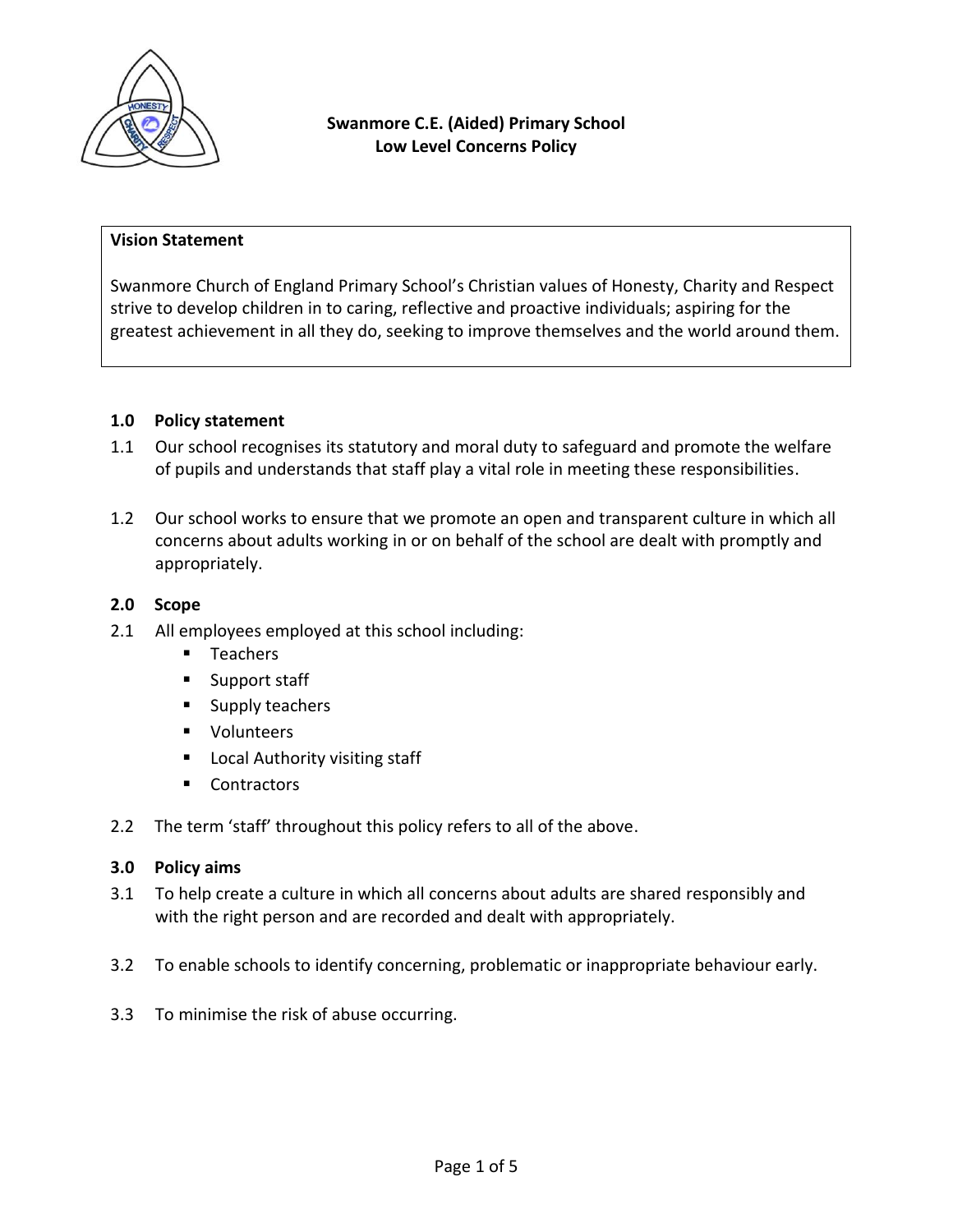

#### **Vision Statement**

Swanmore Church of England Primary School's Christian values of Honesty, Charity and Respect strive to develop children in to caring, reflective and proactive individuals; aspiring for the greatest achievement in all they do, seeking to improve themselves and the world around them.

#### **1.0 Policy statement**

- 1.1 Our school recognises its statutory and moral duty to safeguard and promote the welfare of pupils and understands that staff play a vital role in meeting these responsibilities.
- 1.2 Our school works to ensure that we promote an open and transparent culture in which all concerns about adults working in or on behalf of the school are dealt with promptly and appropriately.

## **2.0 Scope**

- 2.1 All employees employed at this school including:
	- **Teachers**
	- **Support staff**
	- **Supply teachers**
	- **volunteers**
	- **Local Authority visiting staff**
	- Contractors
- 2.2 The term 'staff' throughout this policy refers to all of the above.

#### **3.0 Policy aims**

- 3.1 To help create a culture in which all concerns about adults are shared responsibly and with the right person and are recorded and dealt with appropriately.
- 3.2 To enable schools to identify concerning, problematic or inappropriate behaviour early.
- 3.3 To minimise the risk of abuse occurring.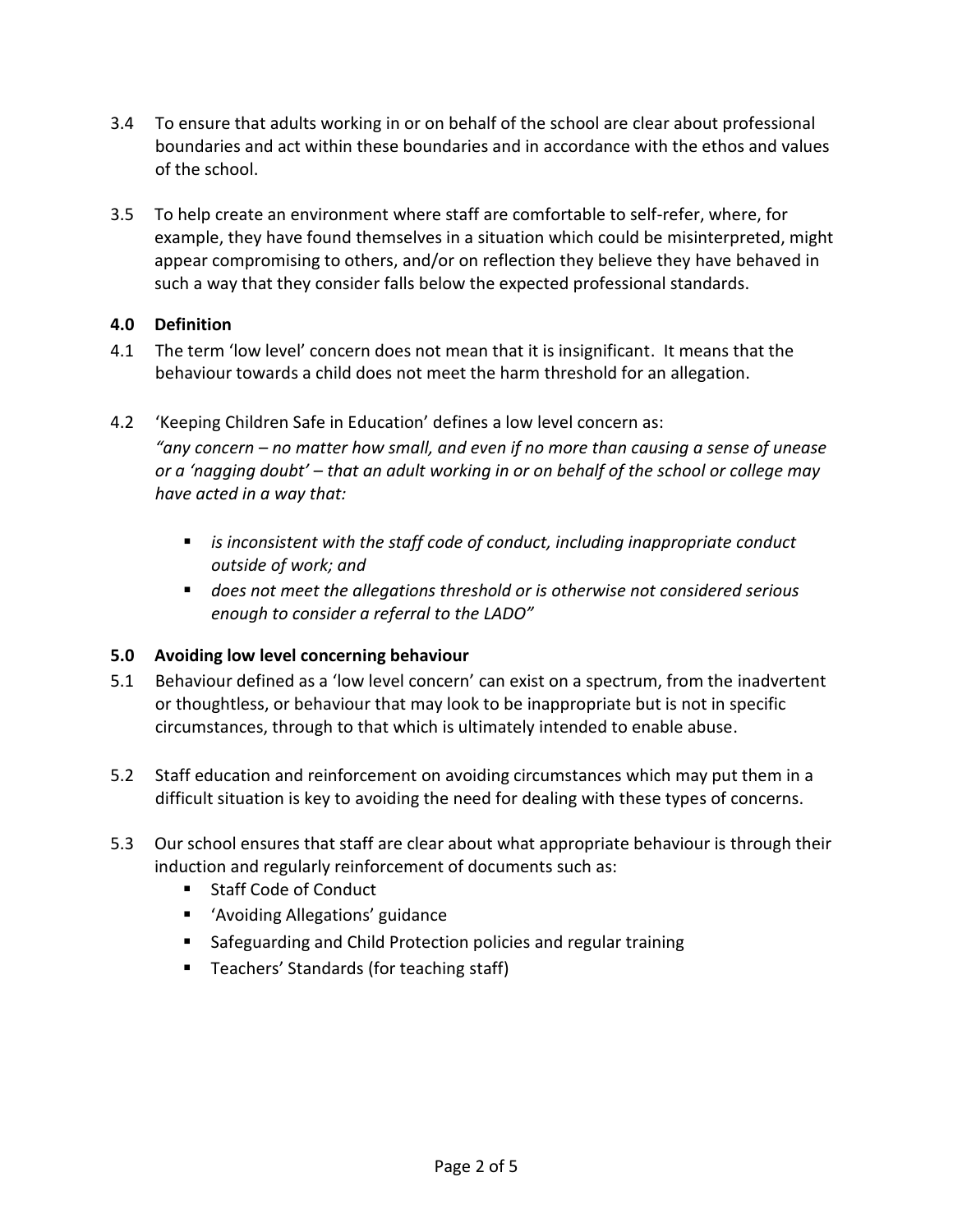- 3.4 To ensure that adults working in or on behalf of the school are clear about professional boundaries and act within these boundaries and in accordance with the ethos and values of the school.
- 3.5 To help create an environment where staff are comfortable to self-refer, where, for example, they have found themselves in a situation which could be misinterpreted, might appear compromising to others, and/or on reflection they believe they have behaved in such a way that they consider falls below the expected professional standards.

# **4.0 Definition**

- 4.1 The term 'low level' concern does not mean that it is insignificant. It means that the behaviour towards a child does not meet the harm threshold for an allegation.
- 4.2 'Keeping Children Safe in Education' defines a low level concern as: *"any concern – no matter how small, and even if no more than causing a sense of unease or a 'nagging doubt' – that an adult working in or on behalf of the school or college may have acted in a way that:*
	- *is inconsistent with the staff code of conduct, including inappropriate conduct outside of work; and*
	- *does not meet the allegations threshold or is otherwise not considered serious enough to consider a referral to the LADO"*

# **5.0 Avoiding low level concerning behaviour**

- 5.1 Behaviour defined as a 'low level concern' can exist on a spectrum, from the inadvertent or thoughtless, or behaviour that may look to be inappropriate but is not in specific circumstances, through to that which is ultimately intended to enable abuse.
- 5.2 Staff education and reinforcement on avoiding circumstances which may put them in a difficult situation is key to avoiding the need for dealing with these types of concerns.
- 5.3 Our school ensures that staff are clear about what appropriate behaviour is through their induction and regularly reinforcement of documents such as:
	- Staff Code of Conduct
	- 'Avoiding Allegations' guidance
	- Safeguarding and Child Protection policies and regular training
	- Teachers' Standards (for teaching staff)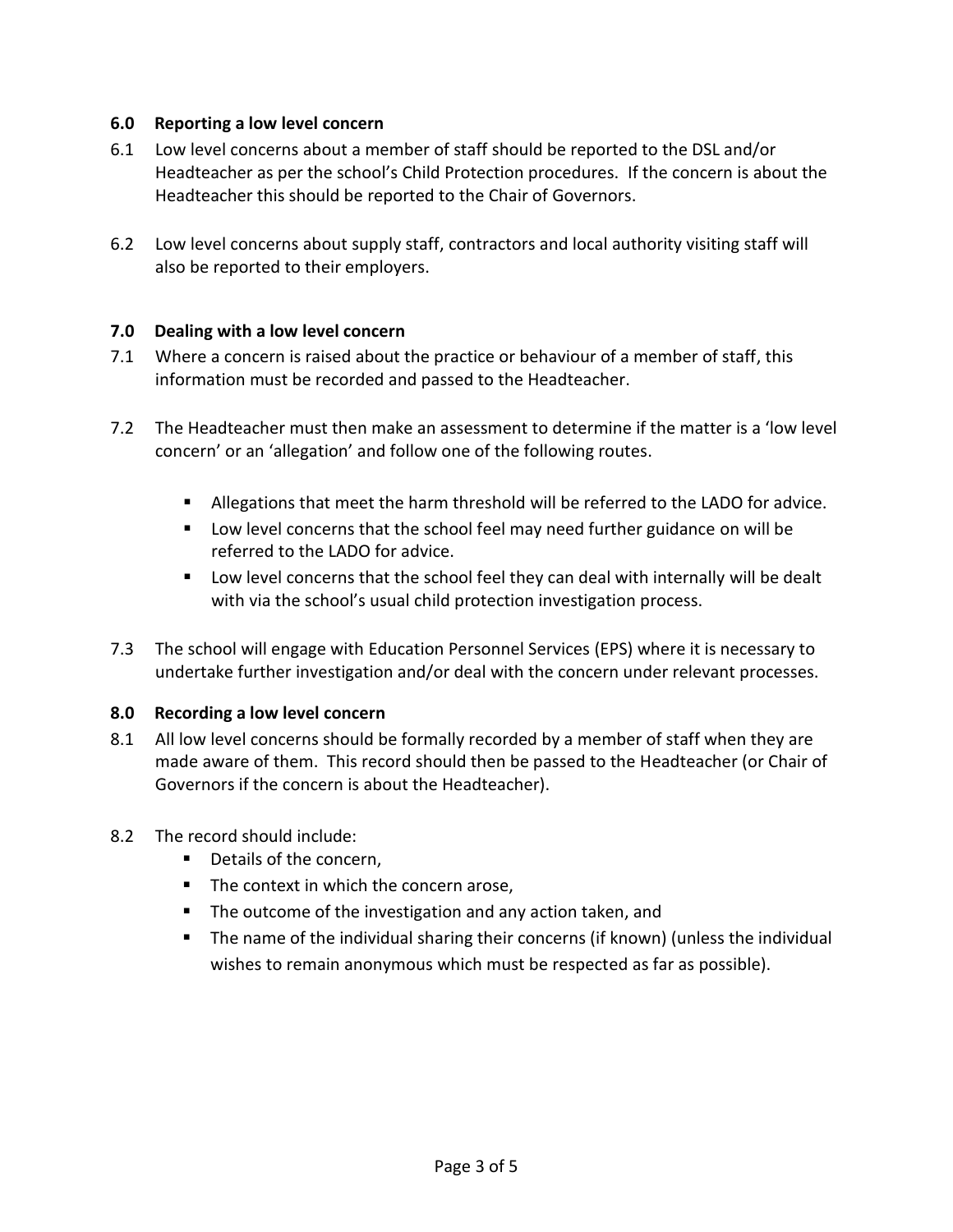## **6.0 Reporting a low level concern**

- 6.1 Low level concerns about a member of staff should be reported to the DSL and/or Headteacher as per the school's Child Protection procedures. If the concern is about the Headteacher this should be reported to the Chair of Governors.
- 6.2 Low level concerns about supply staff, contractors and local authority visiting staff will also be reported to their employers.

## **7.0 Dealing with a low level concern**

- 7.1 Where a concern is raised about the practice or behaviour of a member of staff, this information must be recorded and passed to the Headteacher.
- 7.2 The Headteacher must then make an assessment to determine if the matter is a 'low level concern' or an 'allegation' and follow one of the following routes.
	- Allegations that meet the harm threshold will be referred to the LADO for advice.
	- Low level concerns that the school feel may need further guidance on will be referred to the LADO for advice.
	- Low level concerns that the school feel they can deal with internally will be dealt with via the school's usual child protection investigation process.
- 7.3 The school will engage with Education Personnel Services (EPS) where it is necessary to undertake further investigation and/or deal with the concern under relevant processes.

# **8.0 Recording a low level concern**

- 8.1 All low level concerns should be formally recorded by a member of staff when they are made aware of them. This record should then be passed to the Headteacher (or Chair of Governors if the concern is about the Headteacher).
- 8.2 The record should include:
	- Details of the concern,
	- The context in which the concern arose,
	- The outcome of the investigation and any action taken, and
	- The name of the individual sharing their concerns (if known) (unless the individual wishes to remain anonymous which must be respected as far as possible).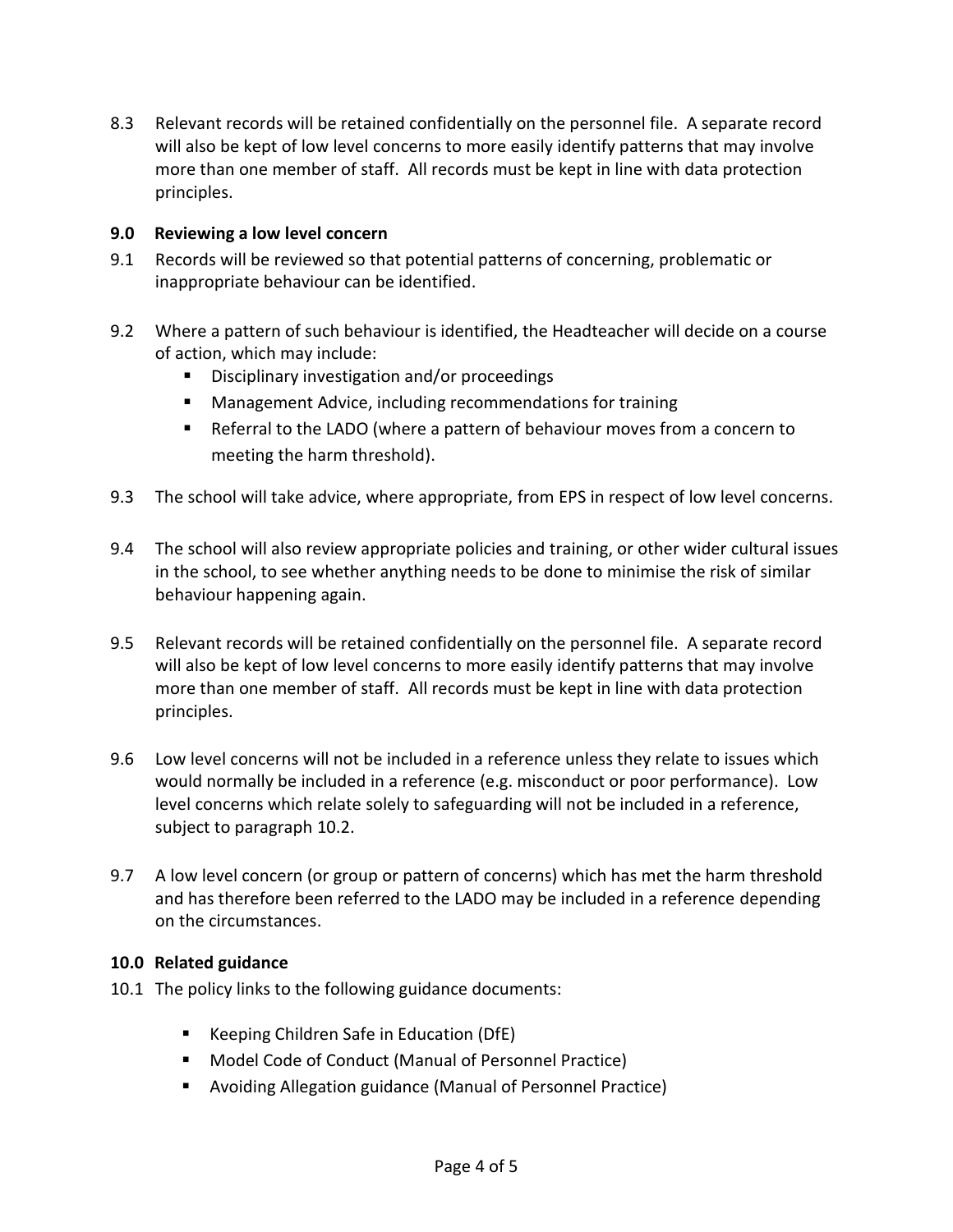8.3 Relevant records will be retained confidentially on the personnel file. A separate record will also be kept of low level concerns to more easily identify patterns that may involve more than one member of staff. All records must be kept in line with data protection principles.

### **9.0 Reviewing a low level concern**

- 9.1 Records will be reviewed so that potential patterns of concerning, problematic or inappropriate behaviour can be identified.
- 9.2 Where a pattern of such behaviour is identified, the Headteacher will decide on a course of action, which may include:
	- Disciplinary investigation and/or proceedings
	- Management Advice, including recommendations for training
	- Referral to the LADO (where a pattern of behaviour moves from a concern to meeting the harm threshold).
- 9.3 The school will take advice, where appropriate, from EPS in respect of low level concerns.
- 9.4 The school will also review appropriate policies and training, or other wider cultural issues in the school, to see whether anything needs to be done to minimise the risk of similar behaviour happening again.
- 9.5 Relevant records will be retained confidentially on the personnel file. A separate record will also be kept of low level concerns to more easily identify patterns that may involve more than one member of staff. All records must be kept in line with data protection principles.
- 9.6 Low level concerns will not be included in a reference unless they relate to issues which would normally be included in a reference (e.g. misconduct or poor performance). Low level concerns which relate solely to safeguarding will not be included in a reference, subject to paragraph 10.2.
- 9.7 A low level concern (or group or pattern of concerns) which has met the harm threshold and has therefore been referred to the LADO may be included in a reference depending on the circumstances.

# **10.0 Related guidance**

- 10.1 The policy links to the following guidance documents:
	- Keeping Children Safe in Education (DfE)
	- Model Code of Conduct (Manual of Personnel Practice)
	- Avoiding Allegation guidance (Manual of Personnel Practice)